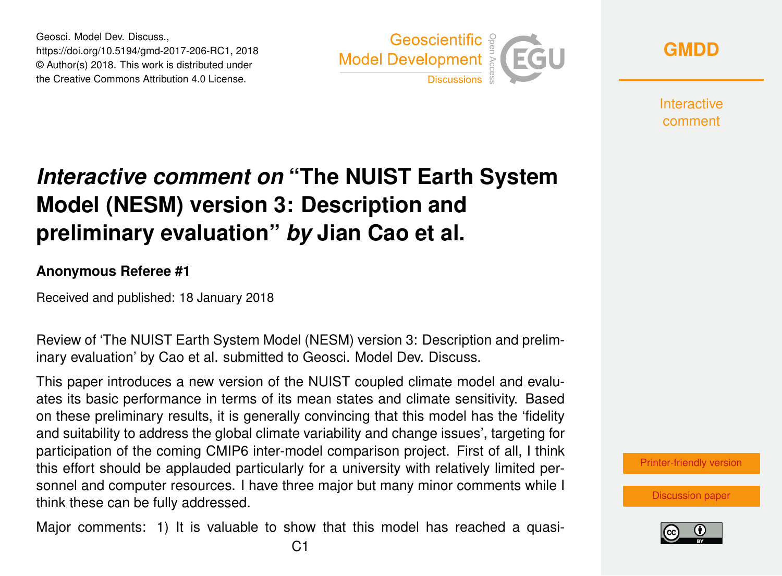Geosci. Model Dev. Discuss., https://doi.org/10.5194/gmd-2017-206-RC1, 2018 © Author(s) 2018. This work is distributed under the Creative Commons Attribution 4.0 License.



**[GMDD](https://www.geosci-model-dev-discuss.net/)**

**Interactive** comment

## *Interactive comment on* **"The NUIST Earth System Model (NESM) version 3: Description and preliminary evaluation"** *by* **Jian Cao et al.**

## **Anonymous Referee #1**

Received and published: 18 January 2018

Review of 'The NUIST Earth System Model (NESM) version 3: Description and preliminary evaluation' by Cao et al. submitted to Geosci. Model Dev. Discuss.

This paper introduces a new version of the NUIST coupled climate model and evaluates its basic performance in terms of its mean states and climate sensitivity. Based on these preliminary results, it is generally convincing that this model has the 'fidelity and suitability to address the global climate variability and change issues', targeting for participation of the coming CMIP6 inter-model comparison project. First of all, I think this effort should be applauded particularly for a university with relatively limited personnel and computer resources. I have three major but many minor comments while I think these can be fully addressed.

Major comments: 1) It is valuable to show that this model has reached a quasi-



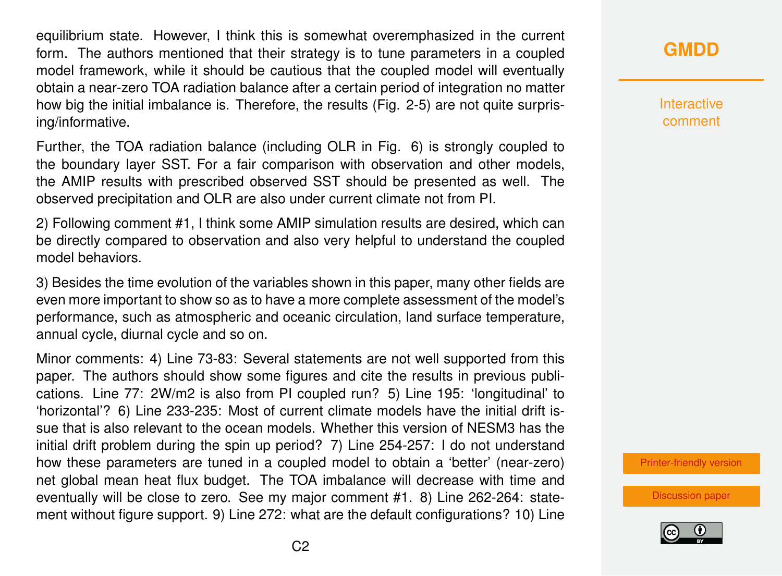equilibrium state. However, I think this is somewhat overemphasized in the current form. The authors mentioned that their strategy is to tune parameters in a coupled model framework, while it should be cautious that the coupled model will eventually obtain a near-zero TOA radiation balance after a certain period of integration no matter how big the initial imbalance is. Therefore, the results (Fig. 2-5) are not quite surprising/informative.

Further, the TOA radiation balance (including OLR in Fig. 6) is strongly coupled to the boundary layer SST. For a fair comparison with observation and other models, the AMIP results with prescribed observed SST should be presented as well. The observed precipitation and OLR are also under current climate not from PI.

2) Following comment #1, I think some AMIP simulation results are desired, which can be directly compared to observation and also very helpful to understand the coupled model behaviors.

3) Besides the time evolution of the variables shown in this paper, many other fields are even more important to show so as to have a more complete assessment of the model's performance, such as atmospheric and oceanic circulation, land surface temperature, annual cycle, diurnal cycle and so on.

Minor comments: 4) Line 73-83: Several statements are not well supported from this paper. The authors should show some figures and cite the results in previous publications. Line 77: 2W/m2 is also from PI coupled run? 5) Line 195: 'longitudinal' to 'horizontal'? 6) Line 233-235: Most of current climate models have the initial drift issue that is also relevant to the ocean models. Whether this version of NESM3 has the initial drift problem during the spin up period? 7) Line 254-257: I do not understand how these parameters are tuned in a coupled model to obtain a 'better' (near-zero) net global mean heat flux budget. The TOA imbalance will decrease with time and eventually will be close to zero. See my major comment #1. 8) Line 262-264: statement without figure support. 9) Line 272: what are the default configurations? 10) Line **[GMDD](https://www.geosci-model-dev-discuss.net/)**

**Interactive** comment

[Printer-friendly version](https://www.geosci-model-dev-discuss.net/gmd-2017-206/gmd-2017-206-RC1-print.pdf)

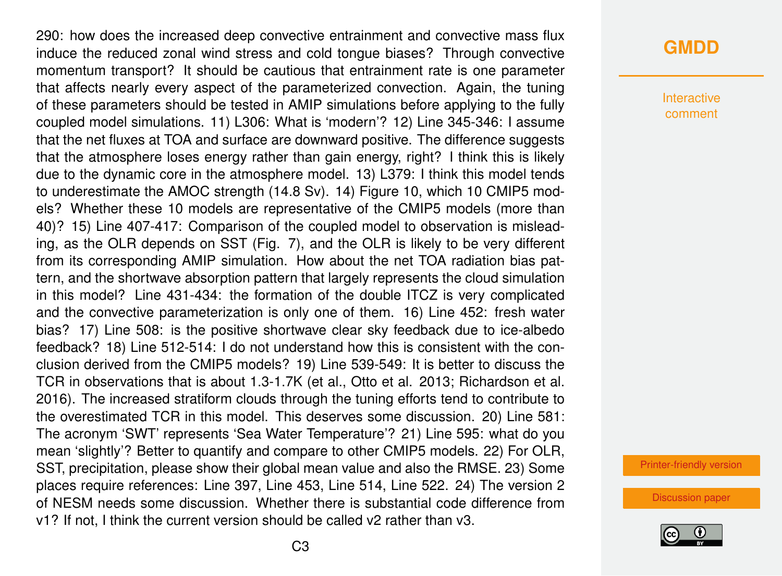290: how does the increased deep convective entrainment and convective mass flux induce the reduced zonal wind stress and cold tongue biases? Through convective momentum transport? It should be cautious that entrainment rate is one parameter that affects nearly every aspect of the parameterized convection. Again, the tuning of these parameters should be tested in AMIP simulations before applying to the fully coupled model simulations. 11) L306: What is 'modern'? 12) Line 345-346: I assume that the net fluxes at TOA and surface are downward positive. The difference suggests that the atmosphere loses energy rather than gain energy, right? I think this is likely due to the dynamic core in the atmosphere model. 13) L379: I think this model tends to underestimate the AMOC strength (14.8 Sv). 14) Figure 10, which 10 CMIP5 models? Whether these 10 models are representative of the CMIP5 models (more than 40)? 15) Line 407-417: Comparison of the coupled model to observation is misleading, as the OLR depends on SST (Fig. 7), and the OLR is likely to be very different from its corresponding AMIP simulation. How about the net TOA radiation bias pattern, and the shortwave absorption pattern that largely represents the cloud simulation in this model? Line 431-434: the formation of the double ITCZ is very complicated and the convective parameterization is only one of them. 16) Line 452: fresh water bias? 17) Line 508: is the positive shortwave clear sky feedback due to ice-albedo feedback? 18) Line 512-514: I do not understand how this is consistent with the conclusion derived from the CMIP5 models? 19) Line 539-549: It is better to discuss the TCR in observations that is about 1.3-1.7K (et al., Otto et al. 2013; Richardson et al. 2016). The increased stratiform clouds through the tuning efforts tend to contribute to the overestimated TCR in this model. This deserves some discussion. 20) Line 581: The acronym 'SWT' represents 'Sea Water Temperature'? 21) Line 595: what do you mean 'slightly'? Better to quantify and compare to other CMIP5 models. 22) For OLR, SST, precipitation, please show their global mean value and also the RMSE. 23) Some places require references: Line 397, Line 453, Line 514, Line 522. 24) The version 2 of NESM needs some discussion. Whether there is substantial code difference from v1? If not, I think the current version should be called v2 rather than v3.

## **[GMDD](https://www.geosci-model-dev-discuss.net/)**

**Interactive** comment

[Printer-friendly version](https://www.geosci-model-dev-discuss.net/gmd-2017-206/gmd-2017-206-RC1-print.pdf)